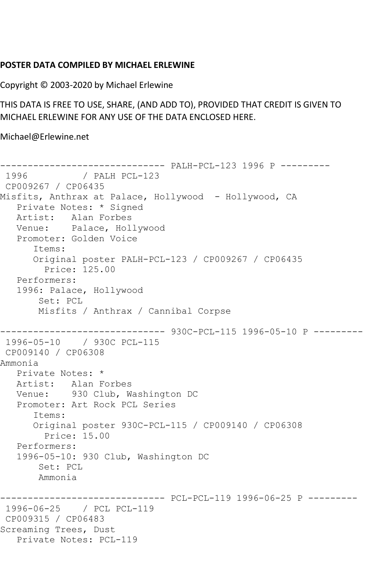## **POSTER DATA COMPILED BY MICHAEL ERLEWINE**

Copyright © 2003-2020 by Michael Erlewine

THIS DATA IS FREE TO USE, SHARE, (AND ADD TO), PROVIDED THAT CREDIT IS GIVEN TO MICHAEL ERLEWINE FOR ANY USE OF THE DATA ENCLOSED HERE.

Michael@Erlewine.net

------------------------------ PALH-PCL-123 1996 P --------- / PALH PCL-123 CP009267 / CP06435 Misfits, Anthrax at Palace, Hollywood - Hollywood, CA Private Notes: \* Signed Artist: Alan Forbes Venue: Palace, Hollywood Promoter: Golden Voice Items: Original poster PALH-PCL-123 / CP009267 / CP06435 Price: 125.00 Performers: 1996: Palace, Hollywood Set: PCL Misfits / Anthrax / Cannibal Corpse ------------------------------ 930C-PCL-115 1996-05-10 P --------- 1996-05-10 / 930C PCL-115 CP009140 / CP06308 Ammonia Private Notes: \* Artist: Alan Forbes Venue: 930 Club, Washington DC Promoter: Art Rock PCL Series Items: Original poster 930C-PCL-115 / CP009140 / CP06308 Price: 15.00 Performers: 1996-05-10: 930 Club, Washington DC Set: PCL Ammonia ------------------------------ PCL-PCL-119 1996-06-25 P --------- 1996-06-25 / PCL PCL-119 CP009315 / CP06483 Screaming Trees, Dust Private Notes: PCL-119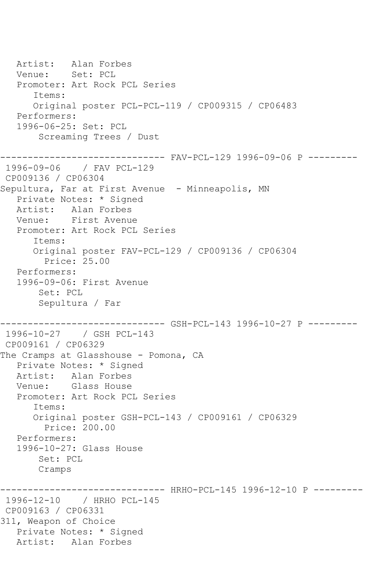Artist: Alan Forbes Venue: Set: PCL Promoter: Art Rock PCL Series Items: Original poster PCL-PCL-119 / CP009315 / CP06483 Performers: 1996-06-25: Set: PCL Screaming Trees / Dust ------------------------------ FAV-PCL-129 1996-09-06 P --------- 1996-09-06 / FAV PCL-129 CP009136 / CP06304 Sepultura, Far at First Avenue - Minneapolis, MN Private Notes: \* Signed Artist: Alan Forbes Venue: First Avenue Promoter: Art Rock PCL Series Items: Original poster FAV-PCL-129 / CP009136 / CP06304 Price: 25.00 Performers: 1996-09-06: First Avenue Set: PCL Sepultura / Far ------------------------------ GSH-PCL-143 1996-10-27 P --------- 1996-10-27 / GSH PCL-143 CP009161 / CP06329 The Cramps at Glasshouse - Pomona, CA Private Notes: \* Signed Artist: Alan Forbes Venue: Glass House Promoter: Art Rock PCL Series Items: Original poster GSH-PCL-143 / CP009161 / CP06329 Price: 200.00 Performers: 1996-10-27: Glass House Set: PCL Cramps ------------------------------ HRHO-PCL-145 1996-12-10 P --------- 1996-12-10 / HRHO PCL-145 CP009163 / CP06331 311, Weapon of Choice Private Notes: \* Signed Artist: Alan Forbes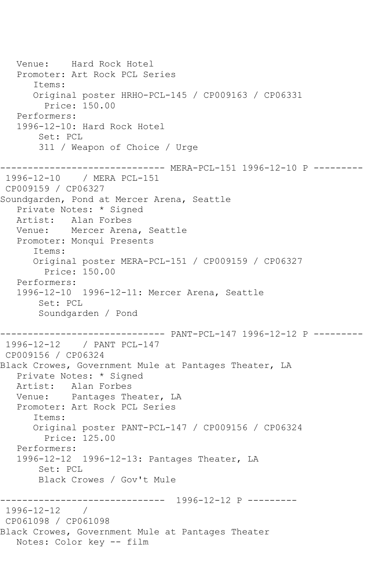```
 Venue: Hard Rock Hotel
   Promoter: Art Rock PCL Series
       Items:
       Original poster HRHO-PCL-145 / CP009163 / CP06331
         Price: 150.00
   Performers:
   1996-12-10: Hard Rock Hotel
        Set: PCL
        311 / Weapon of Choice / Urge
------------------------------ MERA-PCL-151 1996-12-10 P ---------
1996-12-10 / MERA PCL-151
CP009159 / CP06327
Soundgarden, Pond at Mercer Arena, Seattle
   Private Notes: * Signed
   Artist: Alan Forbes
   Venue: Mercer Arena, Seattle
   Promoter: Monqui Presents
       Items:
      Original poster MERA-PCL-151 / CP009159 / CP06327
         Price: 150.00
   Performers:
   1996-12-10 1996-12-11: Mercer Arena, Seattle
        Set: PCL
        Soundgarden / Pond
------------------------------ PANT-PCL-147 1996-12-12 P ---------
1996-12-12 / PANT PCL-147
CP009156 / CP06324
Black Crowes, Government Mule at Pantages Theater, LA
   Private Notes: * Signed
   Artist: Alan Forbes
   Venue: Pantages Theater, LA
   Promoter: Art Rock PCL Series
       Items:
       Original poster PANT-PCL-147 / CP009156 / CP06324
         Price: 125.00
   Performers:
   1996-12-12 1996-12-13: Pantages Theater, LA
        Set: PCL
        Black Crowes / Gov't Mule
                    ------------------------------ 1996-12-12 P ---------
1996-12-12 / 
CP061098 / CP061098
Black Crowes, Government Mule at Pantages Theater
   Notes: Color key -- film
```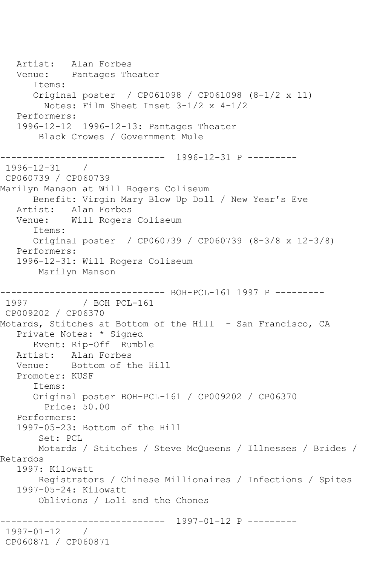Artist: Alan Forbes Venue: Pantages Theater Items: Original poster / CP061098 / CP061098 (8-1/2 x 11) Notes: Film Sheet Inset 3-1/2 x 4-1/2 Performers: 1996-12-12 1996-12-13: Pantages Theater Black Crowes / Government Mule ------------------------------ 1996-12-31 P --------- 1996-12-31 / CP060739 / CP060739 Marilyn Manson at Will Rogers Coliseum Benefit: Virgin Mary Blow Up Doll / New Year's Eve Artist: Alan Forbes Venue: Will Rogers Coliseum Items: Original poster / CP060739 / CP060739 (8-3/8 x 12-3/8) Performers: 1996-12-31: Will Rogers Coliseum Marilyn Manson ------------------------------ BOH-PCL-161 1997 P ---------  $/$  BOH PCL-161 CP009202 / CP06370 Motards, Stitches at Bottom of the Hill - San Francisco, CA Private Notes: \* Signed Event: Rip-Off Rumble Artist: Alan Forbes Venue: Bottom of the Hill Promoter: KUSF Items: Original poster BOH-PCL-161 / CP009202 / CP06370 Price: 50.00 Performers: 1997-05-23: Bottom of the Hill Set: PCL Motards / Stitches / Steve McQueens / Illnesses / Brides / Retardos 1997: Kilowatt Registrators / Chinese Millionaires / Infections / Spites 1997-05-24: Kilowatt Oblivions / Loli and the Chones ------------------------------ 1997-01-12 P --------- 1997-01-12 / CP060871 / CP060871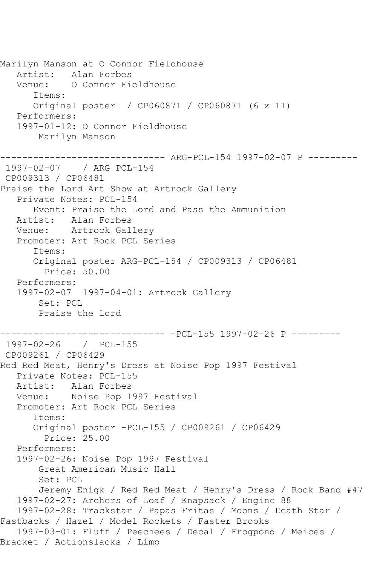Marilyn Manson at O Connor Fieldhouse Artist: Alan Forbes Venue: O Connor Fieldhouse Items: Original poster / CP060871 / CP060871 (6 x 11) Performers: 1997-01-12: O Connor Fieldhouse Marilyn Manson ------------------------------ ARG-PCL-154 1997-02-07 P --------- 1997-02-07 / ARG PCL-154 CP009313 / CP06481 Praise the Lord Art Show at Artrock Gallery Private Notes: PCL-154 Event: Praise the Lord and Pass the Ammunition Artist: Alan Forbes Venue: Artrock Gallery Promoter: Art Rock PCL Series Items: Original poster ARG-PCL-154 / CP009313 / CP06481 Price: 50.00 Performers: 1997-02-07 1997-04-01: Artrock Gallery Set: PCL Praise the Lord ------------------------------ -PCL-155 1997-02-26 P --------- 1997-02-26 / PCL-155 CP009261 / CP06429 Red Red Meat, Henry's Dress at Noise Pop 1997 Festival Private Notes: PCL-155 Artist: Alan Forbes Venue: Noise Pop 1997 Festival Promoter: Art Rock PCL Series Items: Original poster -PCL-155 / CP009261 / CP06429 Price: 25.00 Performers: 1997-02-26: Noise Pop 1997 Festival Great American Music Hall Set: PCL Jeremy Enigk / Red Red Meat / Henry's Dress / Rock Band #47 1997-02-27: Archers of Loaf / Knapsack / Engine 88 1997-02-28: Trackstar / Papas Fritas / Moons / Death Star / Fastbacks / Hazel / Model Rockets / Faster Brooks 1997-03-01: Fluff / Peechees / Decal / Frogpond / Meices / Bracket / Actionslacks / Limp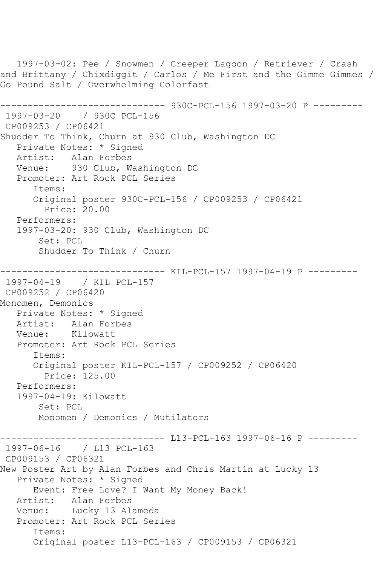1997-03-02: Pee / Snowmen / Creeper Lagoon / Retriever / Crash and Brittany / Chixdiggit / Carlos / Me First and the Gimme Gimmes / Go Pound Salt / Overwhelming Colorfast ------------------------------ 930C-PCL-156 1997-03-20 P --------- 1997-03-20 / 930C PCL-156 CP009253 / CP06421 Shudder To Think, Churn at 930 Club, Washington DC Private Notes: \* Signed Artist: Alan Forbes Venue: 930 Club, Washington DC Promoter: Art Rock PCL Series Items: Original poster 930C-PCL-156 / CP009253 / CP06421 Price: 20.00 Performers: 1997-03-20: 930 Club, Washington DC Set: PCL Shudder To Think / Churn ------------------------------ KIL-PCL-157 1997-04-19 P --------- 1997-04-19 / KIL PCL-157 CP009252 / CP06420 Monomen, Demonics Private Notes: \* Signed Artist: Alan Forbes Venue: Kilowatt Promoter: Art Rock PCL Series Items: Original poster KIL-PCL-157 / CP009252 / CP06420 Price: 125.00 Performers: 1997-04-19: Kilowatt Set: PCL Monomen / Demonics / Mutilators ------------------------------ L13-PCL-163 1997-06-16 P --------- 1997-06-16 / L13 PCL-163 CP009153 / CP06321 New Poster Art by Alan Forbes and Chris Martin at Lucky 13 Private Notes: \* Signed Event: Free Love? I Want My Money Back! Artist: Alan Forbes Venue: Lucky 13 Alameda Promoter: Art Rock PCL Series Items: Original poster L13-PCL-163 / CP009153 / CP06321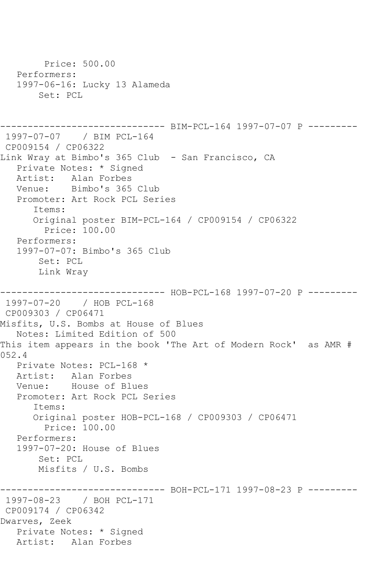```
 Price: 500.00
    Performers:
    1997-06-16: Lucky 13 Alameda
        Set: PCL
------------------------------ BIM-PCL-164 1997-07-07 P ---------
1997-07-07 / BIM PCL-164
CP009154 / CP06322
Link Wray at Bimbo's 365 Club - San Francisco, CA
    Private Notes: * Signed
  Artist: Alan Forbes<br>Venue: Bimbo's 365
            Bimbo's 365 Club
   Promoter: Art Rock PCL Series
       Items:
       Original poster BIM-PCL-164 / CP009154 / CP06322
         Price: 100.00
    Performers:
    1997-07-07: Bimbo's 365 Club
        Set: PCL
        Link Wray
------------------------------ HOB-PCL-168 1997-07-20 P ---------
1997-07-20 / HOB PCL-168
CP009303 / CP06471
Misfits, U.S. Bombs at House of Blues
   Notes: Limited Edition of 500
This item appears in the book 'The Art of Modern Rock' as AMR # 
052.4
   Private Notes: PCL-168 *
   Artist: Alan Forbes
   Venue: House of Blues
    Promoter: Art Rock PCL Series
       Items:
       Original poster HOB-PCL-168 / CP009303 / CP06471
         Price: 100.00
    Performers:
    1997-07-20: House of Blues
        Set: PCL
        Misfits / U.S. Bombs
------------------------------ BOH-PCL-171 1997-08-23 P ---------
1997-08-23 / BOH PCL-171
CP009174 / CP06342
Dwarves, Zeek
   Private Notes: * Signed
   Artist: Alan Forbes
```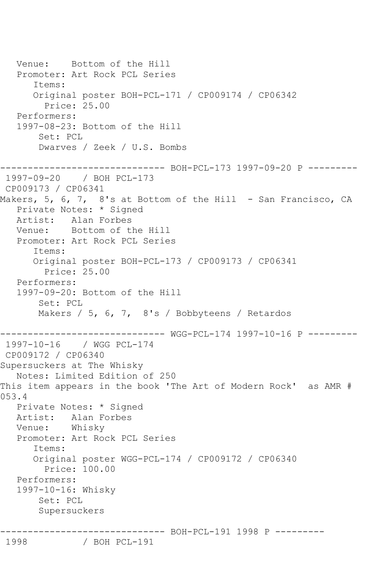Venue: Bottom of the Hill Promoter: Art Rock PCL Series Items: Original poster BOH-PCL-171 / CP009174 / CP06342 Price: 25.00 Performers: 1997-08-23: Bottom of the Hill Set: PCL Dwarves / Zeek / U.S. Bombs ------------------------------ BOH-PCL-173 1997-09-20 P --------- 1997-09-20 / BOH PCL-173 CP009173 / CP06341 Makers, 5, 6, 7, 8's at Bottom of the Hill - San Francisco, CA Private Notes: \* Signed Artist: Alan Forbes<br>Venue: Bottom of t Bottom of the Hill Promoter: Art Rock PCL Series Items: Original poster BOH-PCL-173 / CP009173 / CP06341 Price: 25.00 Performers: 1997-09-20: Bottom of the Hill Set: PCL Makers / 5, 6, 7, 8's / Bobbyteens / Retardos ------------------------------ WGG-PCL-174 1997-10-16 P --------- 1997-10-16 / WGG PCL-174 CP009172 / CP06340 Supersuckers at The Whisky Notes: Limited Edition of 250 This item appears in the book 'The Art of Modern Rock' as AMR # 053.4 Private Notes: \* Signed Artist: Alan Forbes Venue: Whisky Promoter: Art Rock PCL Series Items: Original poster WGG-PCL-174 / CP009172 / CP06340 Price: 100.00 Performers: 1997-10-16: Whisky Set: PCL Supersuckers ------------------------------ BOH-PCL-191 1998 P ---------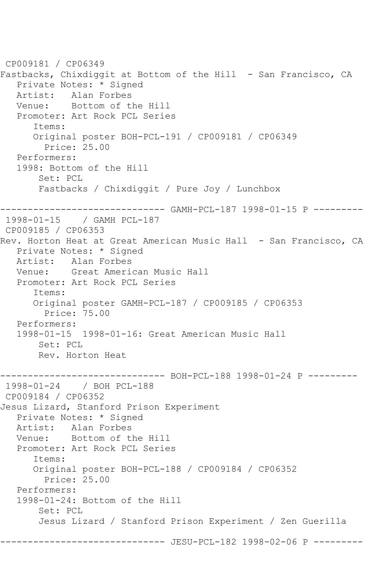```
CP009181 / CP06349
Fastbacks, Chixdiggit at Bottom of the Hill - San Francisco, CA
    Private Notes: * Signed
  Artist: Alan Forbes<br>Venue: Bottom of t
            Bottom of the Hill
   Promoter: Art Rock PCL Series
       Items:
       Original poster BOH-PCL-191 / CP009181 / CP06349
         Price: 25.00
   Performers:
    1998: Bottom of the Hill
        Set: PCL
        Fastbacks / Chixdiggit / Pure Joy / Lunchbox
------------------------------ GAMH-PCL-187 1998-01-15 P ---------
1998-01-15 / GAMH PCL-187
CP009185 / CP06353
Rev. Horton Heat at Great American Music Hall - San Francisco, CA
   Private Notes: * Signed
   Artist: Alan Forbes
   Venue: Great American Music Hall
   Promoter: Art Rock PCL Series
       Items:
       Original poster GAMH-PCL-187 / CP009185 / CP06353
         Price: 75.00
   Performers:
    1998-01-15 1998-01-16: Great American Music Hall
        Set: PCL
        Rev. Horton Heat
      ------------------------------ BOH-PCL-188 1998-01-24 P ---------
1998-01-24 / BOH PCL-188
CP009184 / CP06352
Jesus Lizard, Stanford Prison Experiment
   Private Notes: * Signed
   Artist: Alan Forbes
    Venue: Bottom of the Hill
    Promoter: Art Rock PCL Series
       Items:
       Original poster BOH-PCL-188 / CP009184 / CP06352
         Price: 25.00
   Performers:
    1998-01-24: Bottom of the Hill
        Set: PCL
        Jesus Lizard / Stanford Prison Experiment / Zen Guerilla
                       -------- JESU-PCL-182 1998-02-06 P ---------
```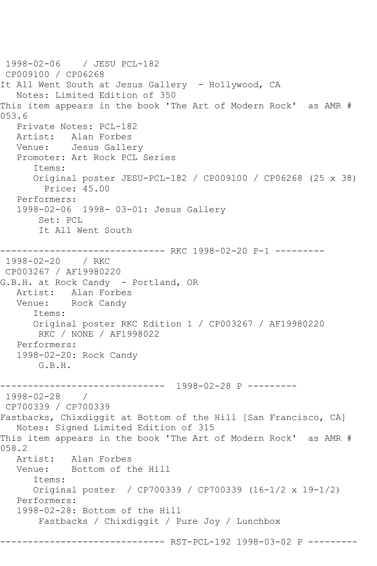1998-02-06 / JESU PCL-182 CP009100 / CP06268 It All Went South at Jesus Gallery - Hollywood, CA Notes: Limited Edition of 350 This item appears in the book 'The Art of Modern Rock' as AMR # 053.6 Private Notes: PCL-182 Artist: Alan Forbes Venue: Jesus Gallery Promoter: Art Rock PCL Series Items: Original poster JESU-PCL-182 / CP009100 / CP06268 (25 x 38) Price: 45.00 Performers: 1998-02-06 1998- 03-01: Jesus Gallery Set: PCL It All Went South ------------------------------ RKC 1998-02-20 P-1 --------- 1998-02-20 / RKC CP003267 / AF19980220 G.B.H. at Rock Candy - Portland, OR Artist: Alan Forbes Venue: Rock Candy Items: Original poster RKC Edition 1 / CP003267 / AF19980220 RKC / NONE / AF1998022 Performers: 1998-02-20: Rock Candy G.B.H. ------------------------------ 1998-02-28 P --------- 1998-02-28 / CP700339 / CP700339 Fastbacks, Chixdiggit at Bottom of the Hill [San Francisco, CA] Notes: Signed Limited Edition of 315 This item appears in the book 'The Art of Modern Rock' as AMR # 058.2 Artist: Alan Forbes<br>Venue: Bottom of t Bottom of the Hill Items: Original poster / CP700339 / CP700339 (16-1/2 x 19-1/2) Performers: 1998-02-28: Bottom of the Hill Fastbacks / Chixdiggit / Pure Joy / Lunchbox ------------ RST-PCL-192 1998-03-02 P ---------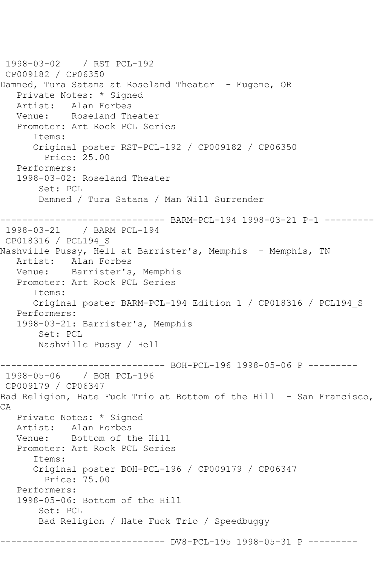```
1998-03-02 / RST PCL-192
CP009182 / CP06350
Damned, Tura Satana at Roseland Theater - Eugene, OR
   Private Notes: * Signed
   Artist: Alan Forbes
   Venue: Roseland Theater
   Promoter: Art Rock PCL Series
       Items:
      Original poster RST-PCL-192 / CP009182 / CP06350
         Price: 25.00
   Performers:
   1998-03-02: Roseland Theater
        Set: PCL
        Damned / Tura Satana / Man Will Surrender
------------------------------ BARM-PCL-194 1998-03-21 P-1 ---------
1998-03-21 / BARM PCL-194
CP018316 / PCL194_S
Nashville Pussy, Hell at Barrister's, Memphis - Memphis, TN
   Artist: Alan Forbes
   Venue: Barrister's, Memphis
   Promoter: Art Rock PCL Series
       Items:
       Original poster BARM-PCL-194 Edition 1 / CP018316 / PCL194_S
   Performers:
   1998-03-21: Barrister's, Memphis
        Set: PCL
        Nashville Pussy / Hell
------------------------------ BOH-PCL-196 1998-05-06 P ---------
1998-05-06 / BOH PCL-196
CP009179 / CP06347
Bad Religion, Hate Fuck Trio at Bottom of the Hill - San Francisco,
CA
   Private Notes: * Signed
   Artist: Alan Forbes
   Venue: Bottom of the Hill
   Promoter: Art Rock PCL Series
       Items:
       Original poster BOH-PCL-196 / CP009179 / CP06347
         Price: 75.00
   Performers:
   1998-05-06: Bottom of the Hill
        Set: PCL
        Bad Religion / Hate Fuck Trio / Speedbuggy
                  ------------------------------ DV8-PCL-195 1998-05-31 P ---------
```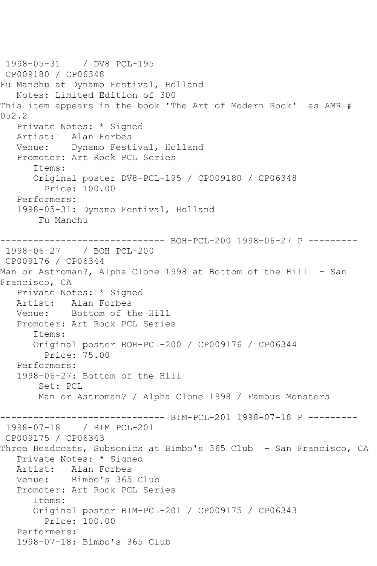1998-05-31 / DV8 PCL-195 CP009180 / CP06348 Fu Manchu at Dynamo Festival, Holland Notes: Limited Edition of 300 This item appears in the book 'The Art of Modern Rock' as AMR # 052.2 Private Notes: \* Signed Artist: Alan Forbes Venue: Dynamo Festival, Holland Promoter: Art Rock PCL Series Items: Original poster DV8-PCL-195 / CP009180 / CP06348 Price: 100.00 Performers: 1998-05-31: Dynamo Festival, Holland Fu Manchu ------------------------------ BOH-PCL-200 1998-06-27 P --------- 1998-06-27 / BOH PCL-200 CP009176 / CP06344 Man or Astroman?, Alpha Clone 1998 at Bottom of the Hill - San Francisco, CA Private Notes: \* Signed Artist: Alan Forbes Venue: Bottom of the Hill Promoter: Art Rock PCL Series Items: Original poster BOH-PCL-200 / CP009176 / CP06344 Price: 75.00 Performers: 1998-06-27: Bottom of the Hill Set: PCL Man or Astroman? / Alpha Clone 1998 / Famous Monsters --------- BIM-PCL-201 1998-07-18 P ---------1998-07-18 / BIM PCL-201 CP009175 / CP06343 Three Headcoats, Subsonics at Bimbo's 365 Club - San Francisco, CA Private Notes: \* Signed Artist: Alan Forbes Venue: Bimbo's 365 Club Promoter: Art Rock PCL Series Items: Original poster BIM-PCL-201 / CP009175 / CP06343 Price: 100.00 Performers: 1998-07-18: Bimbo's 365 Club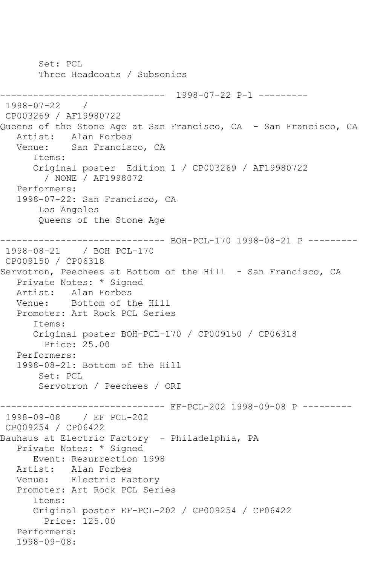Set: PCL Three Headcoats / Subsonics ------------------------------ 1998-07-22 P-1 --------- 1998-07-22 / CP003269 / AF19980722 Queens of the Stone Age at San Francisco, CA - San Francisco, CA Artist: Alan Forbes Venue: San Francisco, CA Items: Original poster Edition 1 / CP003269 / AF19980722 / NONE / AF1998072 Performers: 1998-07-22: San Francisco, CA Los Angeles Queens of the Stone Age ------------------------------ BOH-PCL-170 1998-08-21 P --------- 1998-08-21 / BOH PCL-170 CP009150 / CP06318 Servotron, Peechees at Bottom of the Hill - San Francisco, CA Private Notes: \* Signed Artist: Alan Forbes Venue: Bottom of the Hill Promoter: Art Rock PCL Series Items: Original poster BOH-PCL-170 / CP009150 / CP06318 Price: 25.00 Performers: 1998-08-21: Bottom of the Hill Set: PCL Servotron / Peechees / ORI ------------------------------ EF-PCL-202 1998-09-08 P --------- 1998-09-08 / EF PCL-202 CP009254 / CP06422 Bauhaus at Electric Factory - Philadelphia, PA Private Notes: \* Signed Event: Resurrection 1998<br>Artist: Alan Forbes Alan Forbes Venue: Electric Factory Promoter: Art Rock PCL Series Items: Original poster EF-PCL-202 / CP009254 / CP06422 Price: 125.00 Performers: 1998-09-08: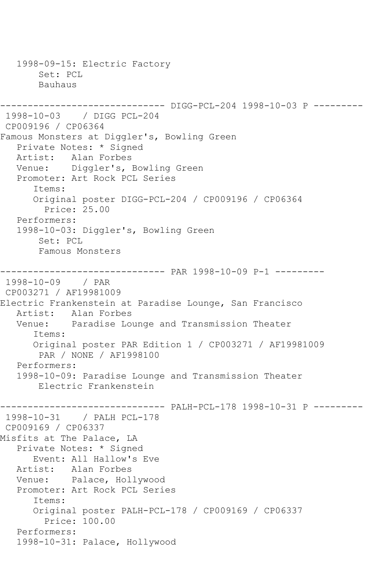1998-09-15: Electric Factory Set: PCL Bauhaus ------------------------------ DIGG-PCL-204 1998-10-03 P --------- 1998-10-03 / DIGG PCL-204 CP009196 / CP06364 Famous Monsters at Diggler's, Bowling Green Private Notes: \* Signed Artist: Alan Forbes Venue: Diggler's, Bowling Green Promoter: Art Rock PCL Series Items: Original poster DIGG-PCL-204 / CP009196 / CP06364 Price: 25.00 Performers: 1998-10-03: Diggler's, Bowling Green Set: PCL Famous Monsters ------------------------------ PAR 1998-10-09 P-1 --------- 1998-10-09 / PAR CP003271 / AF19981009 Electric Frankenstein at Paradise Lounge, San Francisco Artist: Alan Forbes<br>Venue: Paradise Lo Paradise Lounge and Transmission Theater Items: Original poster PAR Edition 1 / CP003271 / AF19981009 PAR / NONE / AF1998100 Performers: 1998-10-09: Paradise Lounge and Transmission Theater Electric Frankenstein ------------------------------ PALH-PCL-178 1998-10-31 P --------- 1998-10-31 / PALH PCL-178 CP009169 / CP06337 Misfits at The Palace, LA Private Notes: \* Signed Event: All Hallow's Eve<br>Artist: Alan Forbes Alan Forbes Venue: Palace, Hollywood Promoter: Art Rock PCL Series Items: Original poster PALH-PCL-178 / CP009169 / CP06337 Price: 100.00 Performers: 1998-10-31: Palace, Hollywood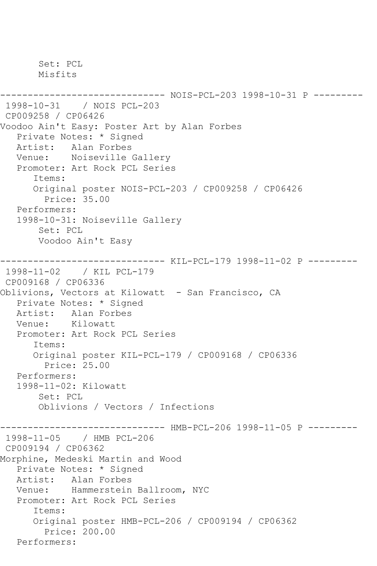Set: PCL Misfits ------------------------------ NOIS-PCL-203 1998-10-31 P --------- 1998-10-31 / NOIS PCL-203 CP009258 / CP06426 Voodoo Ain't Easy: Poster Art by Alan Forbes Private Notes: \* Signed Artist: Alan Forbes Venue: Noiseville Gallery Promoter: Art Rock PCL Series Items: Original poster NOIS-PCL-203 / CP009258 / CP06426 Price: 35.00 Performers: 1998-10-31: Noiseville Gallery Set: PCL Voodoo Ain't Easy ------------------------------ KIL-PCL-179 1998-11-02 P --------- 1998-11-02 / KIL PCL-179 CP009168 / CP06336 Oblivions, Vectors at Kilowatt - San Francisco, CA Private Notes: \* Signed Artist: Alan Forbes<br>Venue: Kilowatt Kilowatt Promoter: Art Rock PCL Series Items: Original poster KIL-PCL-179 / CP009168 / CP06336 Price: 25.00 Performers: 1998-11-02: Kilowatt Set: PCL Oblivions / Vectors / Infections ------------------------------ HMB-PCL-206 1998-11-05 P --------- 1998-11-05 / HMB PCL-206 CP009194 / CP06362 Morphine, Medeski Martin and Wood Private Notes: \* Signed Artist: Alan Forbes Venue: Hammerstein Ballroom, NYC Promoter: Art Rock PCL Series Items: Original poster HMB-PCL-206 / CP009194 / CP06362 Price: 200.00 Performers: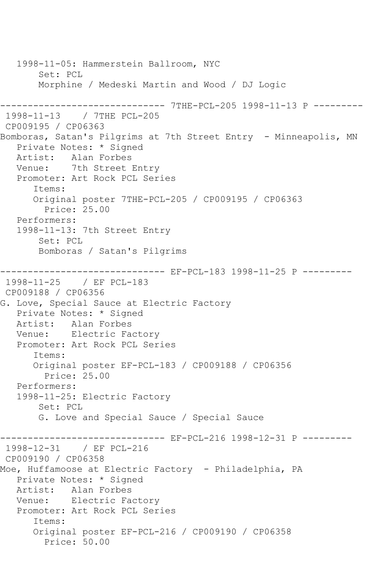1998-11-05: Hammerstein Ballroom, NYC Set: PCL Morphine / Medeski Martin and Wood / DJ Logic ------------------------------ 7THE-PCL-205 1998-11-13 P --------- 1998-11-13 / 7THE PCL-205 CP009195 / CP06363 Bomboras, Satan's Pilgrims at 7th Street Entry - Minneapolis, MN Private Notes: \* Signed Artist: Alan Forbes Venue: 7th Street Entry Promoter: Art Rock PCL Series Items: Original poster 7THE-PCL-205 / CP009195 / CP06363 Price: 25.00 Performers: 1998-11-13: 7th Street Entry Set: PCL Bomboras / Satan's Pilgrims ------------------------------ EF-PCL-183 1998-11-25 P --------- 1998-11-25 / EF PCL-183 CP009188 / CP06356 G. Love, Special Sauce at Electric Factory Private Notes: \* Signed Artist: Alan Forbes Venue: Electric Factory Promoter: Art Rock PCL Series Items: Original poster EF-PCL-183 / CP009188 / CP06356 Price: 25.00 Performers: 1998-11-25: Electric Factory Set: PCL G. Love and Special Sauce / Special Sauce ------------------------------ EF-PCL-216 1998-12-31 P --------- 1998-12-31 / EF PCL-216 CP009190 / CP06358 Moe, Huffamoose at Electric Factory - Philadelphia, PA Private Notes: \* Signed Artist: Alan Forbes Venue: Electric Factory Promoter: Art Rock PCL Series Items: Original poster EF-PCL-216 / CP009190 / CP06358 Price: 50.00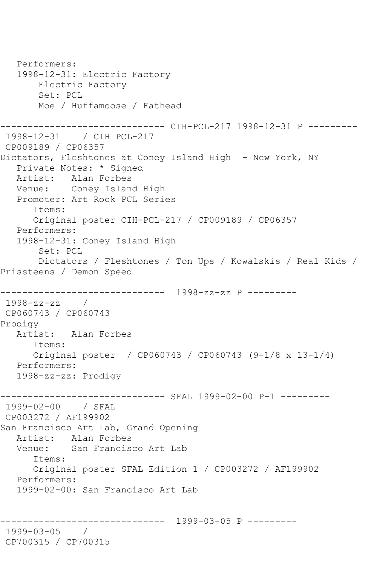```
 Performers:
   1998-12-31: Electric Factory
        Electric Factory
        Set: PCL
        Moe / Huffamoose / Fathead
------------------------------ CIH-PCL-217 1998-12-31 P ---------
1998-12-31 / CIH PCL-217
CP009189 / CP06357
Dictators, Fleshtones at Coney Island High - New York, NY
   Private Notes: * Signed
   Artist: Alan Forbes
   Venue: Coney Island High
   Promoter: Art Rock PCL Series
       Items:
       Original poster CIH-PCL-217 / CP009189 / CP06357
   Performers:
   1998-12-31: Coney Island High
        Set: PCL
        Dictators / Fleshtones / Ton Ups / Kowalskis / Real Kids / 
Prissteens / Demon Speed
------------------------------ 1998-zz-zz P ---------
1998-zz-zz / 
CP060743 / CP060743
Prodigy
   Artist: Alan Forbes
       Items:
      Original poster / CP060743 / CP060743 (9-1/8 x 13-1/4)
   Performers:
   1998-zz-zz: Prodigy
------------------------------ SFAL 1999-02-00 P-1 ---------
1999-02-00 / SFAL 
CP003272 / AF199902
San Francisco Art Lab, Grand Opening
   Artist: Alan Forbes
   Venue: San Francisco Art Lab
      Items:
       Original poster SFAL Edition 1 / CP003272 / AF199902
   Performers:
   1999-02-00: San Francisco Art Lab
                     ------------------------------ 1999-03-05 P ---------
1999-03-05 / 
CP700315 / CP700315
```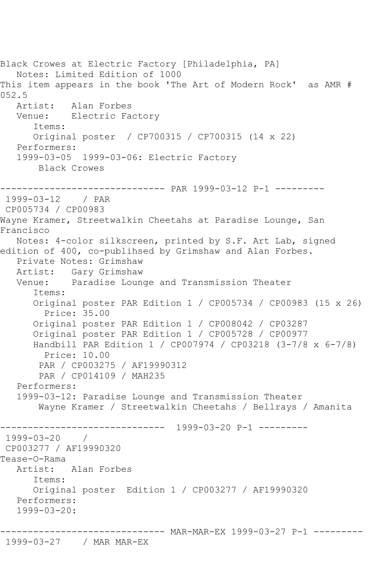Black Crowes at Electric Factory [Philadelphia, PA] Notes: Limited Edition of 1000 This item appears in the book 'The Art of Modern Rock' as AMR # 052.5<br>: Artist Alan Forbes Venue: Electric Factory Items: Original poster / CP700315 / CP700315 (14 x 22) Performers: 1999-03-05 1999-03-06: Electric Factory Black Crowes ------------------------------ PAR 1999-03-12 P-1 --------- 1999-03-12 / PAR CP005734 / CP00983 Wayne Kramer, Streetwalkin Cheetahs at Paradise Lounge, San Francisco Notes: 4-color silkscreen, printed by S.F. Art Lab, signed edition of 400, co-publihsed by Grimshaw and Alan Forbes. Private Notes: Grimshaw Artist: Gary Grimshaw Venue: Paradise Lounge and Transmission Theater Items: Original poster PAR Edition 1 / CP005734 / CP00983 (15 x 26) Price: 35.00 Original poster PAR Edition 1 / CP008042 / CP03287 Original poster PAR Edition 1 / CP005728 / CP00977 Handbill PAR Edition 1 / CP007974 / CP03218 (3-7/8 x 6-7/8) Price: 10.00 PAR / CP003275 / AF19990312 PAR / CP014109 / MAH235 Performers: 1999-03-12: Paradise Lounge and Transmission Theater Wayne Kramer / Streetwalkin Cheetahs / Bellrays / Amanita ------------------------------ 1999-03-20 P-1 --------- 1999-03-20 / CP003277 / AF19990320 Tease-O-Rama Artist: Alan Forbes Items: Original poster Edition 1 / CP003277 / AF19990320 Performers: 1999-03-20: ------------------------------ MAR-MAR-EX 1999-03-27 P-1 ---------

1999-03-27 / MAR MAR-EX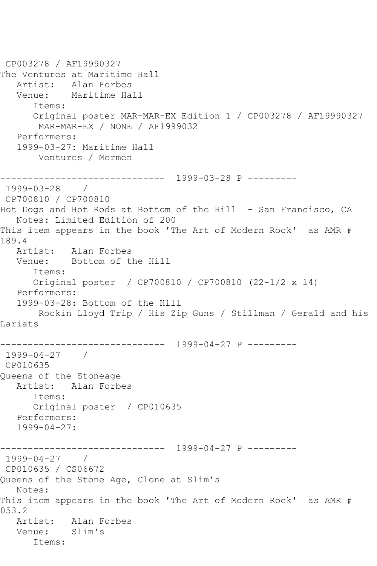CP003278 / AF19990327 The Ventures at Maritime Hall Artist: Alan Forbes Venue: Maritime Hall Items: Original poster MAR-MAR-EX Edition 1 / CP003278 / AF19990327 MAR-MAR-EX / NONE / AF1999032 Performers: 1999-03-27: Maritime Hall Ventures / Mermen ------------------------------ 1999-03-28 P --------- 1999-03-28 / CP700810 / CP700810 Hot Dogs and Hot Rods at Bottom of the Hill - San Francisco, CA Notes: Limited Edition of 200 This item appears in the book 'The Art of Modern Rock' as AMR # 189.4<br>Artist: Alan Forbes Venue: Bottom of the Hill Items: Original poster / CP700810 / CP700810 (22-1/2 x 14) Performers: 1999-03-28: Bottom of the Hill Rockin Lloyd Trip / His Zip Guns / Stillman / Gerald and his Lariats ------------------------------ 1999-04-27 P --------- 1999-04-27 / CP010635 Queens of the Stoneage Artist: Alan Forbes Items: Original poster / CP010635 Performers: 1999-04-27: ------------------------------ 1999-04-27 P --------- 1999-04-27 / CP010635 / CS06672 Queens of the Stone Age, Clone at Slim's Notes: This item appears in the book 'The Art of Modern Rock' as AMR # 053.2 Artist: Alan Forbes<br>Venue: Slim's Venue: Items: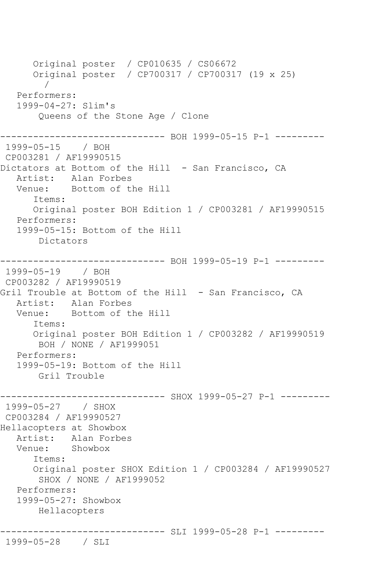Original poster / CP010635 / CS06672 Original poster / CP700317 / CP700317 (19 x 25) / Performers: 1999-04-27: Slim's Queens of the Stone Age / Clone ------------------------------ BOH 1999-05-15 P-1 --------- 1999-05-15 / BOH CP003281 / AF19990515 Dictators at Bottom of the Hill - San Francisco, CA Artist: Alan Forbes<br>Venue: Bottom of tl Bottom of the Hill Items: Original poster BOH Edition 1 / CP003281 / AF19990515 Performers: 1999-05-15: Bottom of the Hill Dictators ------------------------------ BOH 1999-05-19 P-1 --------- 1999-05-19 / BOH CP003282 / AF19990519 Gril Trouble at Bottom of the Hill - San Francisco, CA Artist: Alan Forbes Venue: Bottom of the Hill Items: Original poster BOH Edition 1 / CP003282 / AF19990519 BOH / NONE / AF1999051 Performers: 1999-05-19: Bottom of the Hill Gril Trouble ------------------------------ SHOX 1999-05-27 P-1 --------- 1999-05-27 / SHOX CP003284 / AF19990527 Hellacopters at Showbox Artist: Alan Forbes Venue: Showbox Items: Original poster SHOX Edition 1 / CP003284 / AF19990527 SHOX / NONE / AF1999052 Performers: 1999-05-27: Showbox Hellacopters ------------------------------ SLI 1999-05-28 P-1 ---------

```
1999-05-28 / SLI
```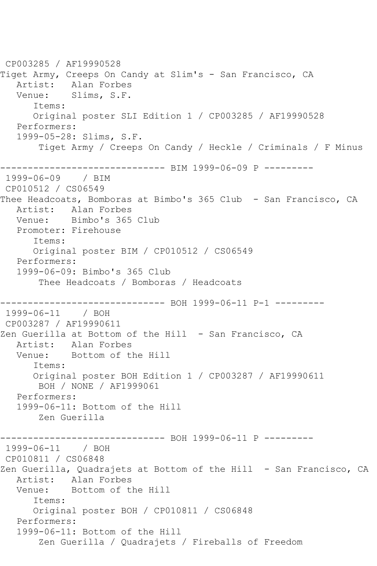CP003285 / AF19990528 Tiget Army, Creeps On Candy at Slim's - San Francisco, CA Artist: Alan Forbes Venue: Slims, S.F. Items: Original poster SLI Edition 1 / CP003285 / AF19990528 Performers: 1999-05-28: Slims, S.F. Tiget Army / Creeps On Candy / Heckle / Criminals / F Minus ------------------------------ BIM 1999-06-09 P --------- 1999-06-09 / BIM CP010512 / CS06549 Thee Headcoats, Bomboras at Bimbo's 365 Club - San Francisco, CA Artist: Alan Forbes Venue: Bimbo's 365 Club Promoter: Firehouse Items: Original poster BIM / CP010512 / CS06549 Performers: 1999-06-09: Bimbo's 365 Club Thee Headcoats / Bomboras / Headcoats ------------------------------ BOH 1999-06-11 P-1 --------- 1999-06-11 / BOH CP003287 / AF19990611 Zen Guerilla at Bottom of the Hill - San Francisco, CA Artist: Alan Forbes Venue: Bottom of the Hill Items: Original poster BOH Edition 1 / CP003287 / AF19990611 BOH / NONE / AF1999061 Performers: 1999-06-11: Bottom of the Hill Zen Guerilla ------------------------------ BOH 1999-06-11 P --------- 1999-06-11 / BOH CP010811 / CS06848 Zen Guerilla, Quadrajets at Bottom of the Hill - San Francisco, CA Artist: Alan Forbes Venue: Bottom of the Hill Items: Original poster BOH / CP010811 / CS06848 Performers: 1999-06-11: Bottom of the Hill Zen Guerilla / Quadrajets / Fireballs of Freedom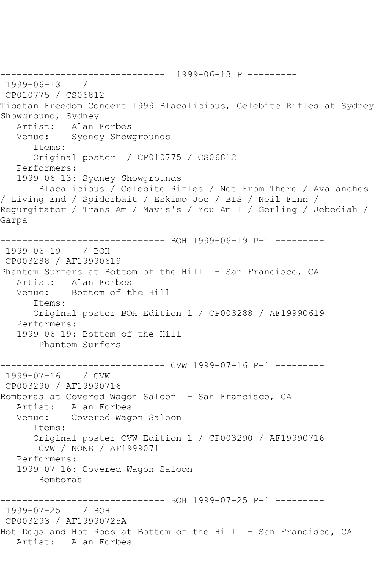------------------------------ 1999-06-13 P --------- 1999-06-13 / CP010775 / CS06812 Tibetan Freedom Concert 1999 Blacalicious, Celebite Rifles at Sydney Showground, Sydney Artist: Alan Forbes Venue: Sydney Showgrounds Items: Original poster / CP010775 / CS06812 Performers: 1999-06-13: Sydney Showgrounds Blacalicious / Celebite Rifles / Not From There / Avalanches / Living End / Spiderbait / Eskimo Joe / BIS / Neil Finn / Regurgitator / Trans Am / Mavis's / You Am I / Gerling / Jebediah / Garpa ------------------------------ BOH 1999-06-19 P-1 --------- 1999-06-19 / BOH CP003288 / AF19990619 Phantom Surfers at Bottom of the Hill - San Francisco, CA Artist: Alan Forbes Venue: Bottom of the Hill Items: Original poster BOH Edition 1 / CP003288 / AF19990619 Performers: 1999-06-19: Bottom of the Hill Phantom Surfers ------------------------------ CVW 1999-07-16 P-1 --------- 1999-07-16 / CVW CP003290 / AF19990716 Bomboras at Covered Wagon Saloon - San Francisco, CA Artist: Alan Forbes Venue: Covered Wagon Saloon Items: Original poster CVW Edition 1 / CP003290 / AF19990716 CVW / NONE / AF1999071 Performers: 1999-07-16: Covered Wagon Saloon Bomboras ------------------------------ BOH 1999-07-25 P-1 --------- 1999-07-25 / BOH CP003293 / AF19990725A Hot Dogs and Hot Rods at Bottom of the Hill - San Francisco, CA Artist: Alan Forbes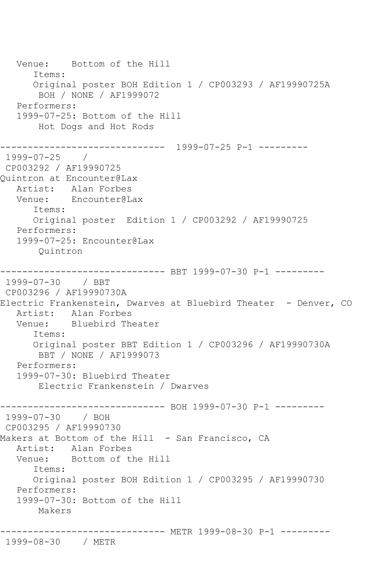Venue: Bottom of the Hill Items: Original poster BOH Edition 1 / CP003293 / AF19990725A BOH / NONE / AF1999072 Performers: 1999-07-25: Bottom of the Hill Hot Dogs and Hot Rods ------------------------------ 1999-07-25 P-1 --------- 1999-07-25 / CP003292 / AF19990725 Quintron at Encounter@Lax Artist: Alan Forbes Venue: Encounter@Lax Items: Original poster Edition 1 / CP003292 / AF19990725 Performers: 1999-07-25: Encounter@Lax Quintron ------------------------------ BBT 1999-07-30 P-1 --------- 1999-07-30 / BBT CP003296 / AF19990730A Electric Frankenstein, Dwarves at Bluebird Theater - Denver, CO Artist: Alan Forbes<br>Venue: Bluebird The Bluebird Theater Items: Original poster BBT Edition 1 / CP003296 / AF19990730A BBT / NONE / AF1999073 Performers: 1999-07-30: Bluebird Theater Electric Frankenstein / Dwarves ------------------------------ BOH 1999-07-30 P-1 --------- 1999-07-30 / BOH CP003295 / AF19990730 Makers at Bottom of the Hill - San Francisco, CA Artist: Alan Forbes Venue: Bottom of the Hill Items: Original poster BOH Edition 1 / CP003295 / AF19990730 Performers: 1999-07-30: Bottom of the Hill Makers ------------------------------ METR 1999-08-30 P-1 ---------

1999-08-30 / METR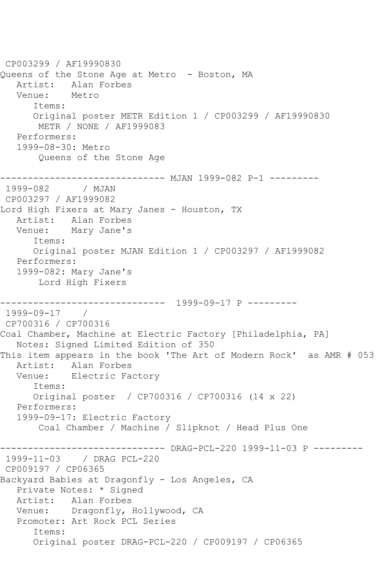CP003299 / AF19990830 Queens of the Stone Age at Metro - Boston, MA Artist: Alan Forbes Venue: Metro Items: Original poster METR Edition 1 / CP003299 / AF19990830 METR / NONE / AF1999083 Performers: 1999-08-30: Metro Queens of the Stone Age ------------------------------ MJAN 1999-082 P-1 --------- 1999-082 / MJAN CP003297 / AF1999082 Lord High Fixers at Mary Janes - Houston, TX Artist: Alan Forbes Venue: Mary Jane's Items: Original poster MJAN Edition 1 / CP003297 / AF1999082 Performers: 1999-082: Mary Jane's Lord High Fixers ------------------------------ 1999-09-17 P --------- 1999-09-17 / CP700316 / CP700316 Coal Chamber, Machine at Electric Factory [Philadelphia, PA] Notes: Signed Limited Edition of 350 This item appears in the book 'The Art of Modern Rock' as AMR # 053 Artist: Alan Forbes Venue: Electric Factory Items: Original poster / CP700316 / CP700316 (14 x 22) Performers: 1999-09-17: Electric Factory Coal Chamber / Machine / Slipknot / Head Plus One ------------ DRAG-PCL-220 1999-11-03 P ---------1999-11-03 / DRAG PCL-220 CP009197 / CP06365 Backyard Babies at Dragonfly - Los Angeles, CA Private Notes: \* Signed Artist: Alan Forbes Venue: Dragonfly, Hollywood, CA Promoter: Art Rock PCL Series Items: Original poster DRAG-PCL-220 / CP009197 / CP06365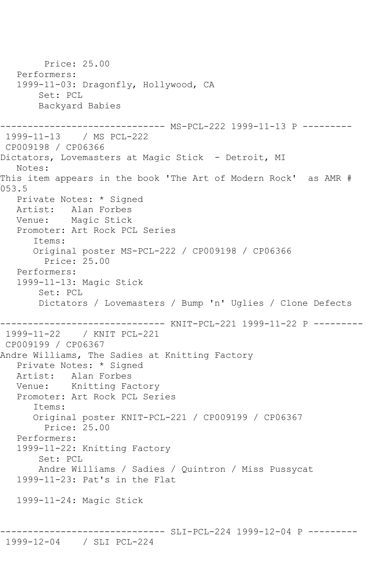Price: 25.00 Performers: 1999-11-03: Dragonfly, Hollywood, CA Set: PCL Backyard Babies ------------------------------ MS-PCL-222 1999-11-13 P --------- 1999-11-13 / MS PCL-222 CP009198 / CP06366 Dictators, Lovemasters at Magic Stick - Detroit, MI Notes: This item appears in the book 'The Art of Modern Rock' as AMR # 053.5 Private Notes: \* Signed Artist: Alan Forbes Venue: Magic Stick Promoter: Art Rock PCL Series Items: Original poster MS-PCL-222 / CP009198 / CP06366 Price: 25.00 Performers: 1999-11-13: Magic Stick Set: PCL Dictators / Lovemasters / Bump 'n' Uglies / Clone Defects ------------------------------ KNIT-PCL-221 1999-11-22 P --------- 1999-11-22 / KNIT PCL-221 CP009199 / CP06367 Andre Williams, The Sadies at Knitting Factory Private Notes: \* Signed Artist: Alan Forbes Venue: Knitting Factory Promoter: Art Rock PCL Series Items: Original poster KNIT-PCL-221 / CP009199 / CP06367 Price: 25.00 Performers: 1999-11-22: Knitting Factory Set: PCL Andre Williams / Sadies / Quintron / Miss Pussycat 1999-11-23: Pat's in the Flat 1999-11-24: Magic Stick ------------------------------ SLI-PCL-224 1999-12-04 P ---------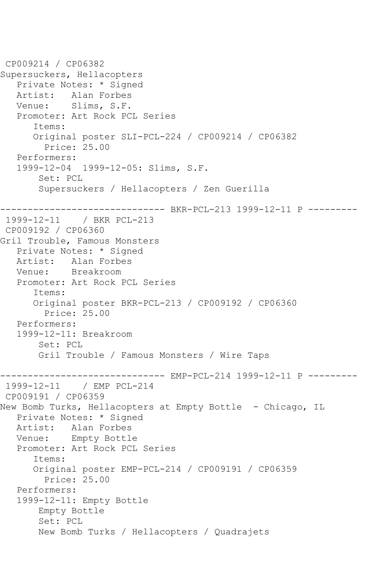```
CP009214 / CP06382
Supersuckers, Hellacopters
    Private Notes: * Signed
  Artist: Alan Forbes<br>Venue: Slims, S.F.
            Slims, S.F.
    Promoter: Art Rock PCL Series
       Items:
       Original poster SLI-PCL-224 / CP009214 / CP06382
         Price: 25.00
   Performers:
    1999-12-04 1999-12-05: Slims, S.F.
        Set: PCL
        Supersuckers / Hellacopters / Zen Guerilla
      ------------------------------ BKR-PCL-213 1999-12-11 P ---------
1999-12-11 / BKR PCL-213
CP009192 / CP06360
Gril Trouble, Famous Monsters
   Private Notes: * Signed
   Artist: Alan Forbes
   Venue: Breakroom
   Promoter: Art Rock PCL Series
       Items:
       Original poster BKR-PCL-213 / CP009192 / CP06360
         Price: 25.00
   Performers:
    1999-12-11: Breakroom
        Set: PCL
        Gril Trouble / Famous Monsters / Wire Taps
       ------------------------------ EMP-PCL-214 1999-12-11 P ---------
1999-12-11 / EMP PCL-214
CP009191 / CP06359
New Bomb Turks, Hellacopters at Empty Bottle - Chicago, IL
   Private Notes: * Signed
   Artist: Alan Forbes
   Venue: Empty Bottle
    Promoter: Art Rock PCL Series
       Items:
       Original poster EMP-PCL-214 / CP009191 / CP06359
         Price: 25.00
    Performers:
    1999-12-11: Empty Bottle
        Empty Bottle
        Set: PCL
        New Bomb Turks / Hellacopters / Quadrajets
```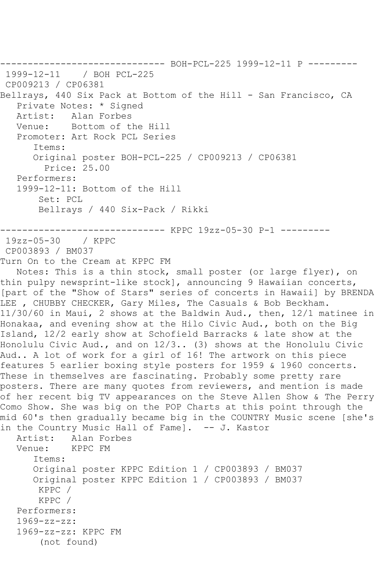------------------------------ BOH-PCL-225 1999-12-11 P ---------  $/$  BOH PCL-225 CP009213 / CP06381 Bellrays, 440 Six Pack at Bottom of the Hill - San Francisco, CA Private Notes: \* Signed<br>Artist: Alan Forbes Alan Forbes Venue: Bottom of the Hill Promoter: Art Rock PCL Series Items: Original poster BOH-PCL-225 / CP009213 / CP06381 Price: 25.00 Performers: 1999-12-11: Bottom of the Hill Set: PCL Bellrays / 440 Six-Pack / Rikki ------------------------------ KPPC 19zz-05-30 P-1 --------- 19zz-05-30 / KPPC CP003893 / BM037 Turn On to the Cream at KPPC FM Notes: This is a thin stock, small poster (or large flyer), on thin pulpy newsprint-like stock], announcing 9 Hawaiian concerts, [part of the "Show of Stars" series of concerts in Hawaii] by BRENDA LEE , CHUBBY CHECKER, Gary Miles, The Casuals & Bob Beckham. 11/30/60 in Maui, 2 shows at the Baldwin Aud., then, 12/1 matinee in Honakaa, and evening show at the Hilo Civic Aud., both on the Big Island, 12/2 early show at Schofield Barracks & late show at the Honolulu Civic Aud., and on 12/3.. (3) shows at the Honolulu Civic Aud.. A lot of work for a girl of 16! The artwork on this piece features 5 earlier boxing style posters for 1959 & 1960 concerts. These in themselves are fascinating. Probably some pretty rare posters. There are many quotes from reviewers, and mention is made of her recent big TV appearances on the Steve Allen Show & The Perry Como Show. She was big on the POP Charts at this point through the mid 60's then gradually became big in the COUNTRY Music scene [she's in the Country Music Hall of Fame]. -- J. Kastor Artist: Alan Forbes Venue: KPPC FM Items: Original poster KPPC Edition 1 / CP003893 / BM037 Original poster KPPC Edition 1 / CP003893 / BM037 KPPC / KPPC / Performers: 1969-zz-zz: 1969-zz-zz: KPPC FM (not found)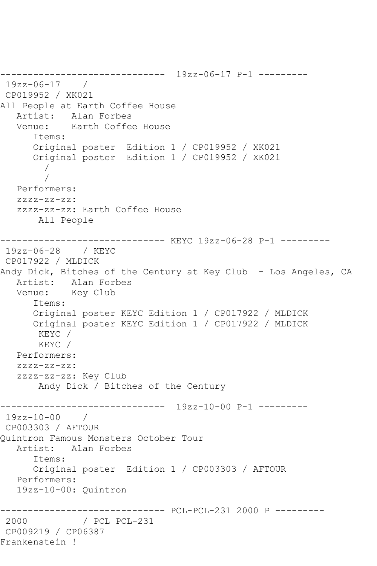------------------------------ 19zz-06-17 P-1 --------- 19zz-06-17 / CP019952 / XK021 All People at Earth Coffee House Artist: Alan Forbes<br>Venue: Earth Coffee Earth Coffee House Items: Original poster Edition 1 / CP019952 / XK021 Original poster Edition 1 / CP019952 / XK021 / / Performers: zzzz-zz-zz: zzzz-zz-zz: Earth Coffee House All People ------------------------------ KEYC 19zz-06-28 P-1 --------- 19zz-06-28 / KEYC CP017922 / MLDICK Andy Dick, Bitches of the Century at Key Club - Los Angeles, CA Artist: Alan Forbes Venue: Key Club Items: Original poster KEYC Edition 1 / CP017922 / MLDICK Original poster KEYC Edition 1 / CP017922 / MLDICK KEYC / KEYC / Performers: zzzz-zz-zz: zzzz-zz-zz: Key Club Andy Dick / Bitches of the Century ------------------------------ 19zz-10-00 P-1 --------- 19zz-10-00 / CP003303 / AFTOUR Quintron Famous Monsters October Tour Artist: Alan Forbes Items: Original poster Edition 1 / CP003303 / AFTOUR Performers: 19zz-10-00: Quintron ------------------------------ PCL-PCL-231 2000 P --------- 2000 / PCL PCL-231 CP009219 / CP06387 Frankenstein !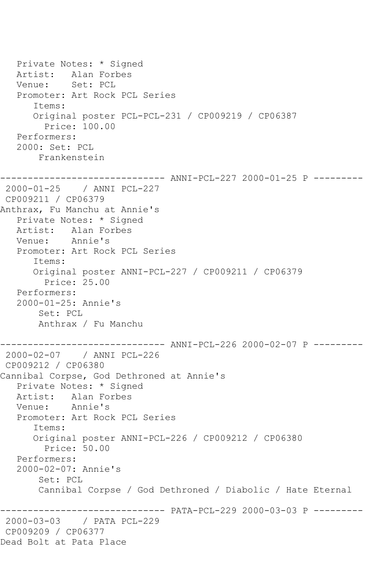Private Notes: \* Signed Artist: Alan Forbes Venue: Set: PCL Promoter: Art Rock PCL Series Items: Original poster PCL-PCL-231 / CP009219 / CP06387 Price: 100.00 Performers: 2000: Set: PCL Frankenstein ------------------------------ ANNI-PCL-227 2000-01-25 P --------- 2000-01-25 / ANNI PCL-227 CP009211 / CP06379 Anthrax, Fu Manchu at Annie's Private Notes: \* Signed Artist: Alan Forbes<br>Venue: Annie's Annie's Promoter: Art Rock PCL Series Items: Original poster ANNI-PCL-227 / CP009211 / CP06379 Price: 25.00 Performers: 2000-01-25: Annie's Set: PCL Anthrax / Fu Manchu ------------------------------ ANNI-PCL-226 2000-02-07 P --------- 2000-02-07 / ANNI PCL-226 CP009212 / CP06380 Cannibal Corpse, God Dethroned at Annie's Private Notes: \* Signed Artist: Alan Forbes<br>Venue: Annie's Annie's Promoter: Art Rock PCL Series Items: Original poster ANNI-PCL-226 / CP009212 / CP06380 Price: 50.00 Performers: 2000-02-07: Annie's Set: PCL Cannibal Corpse / God Dethroned / Diabolic / Hate Eternal -------- PATA-PCL-229 2000-03-03 P ---------2000-03-03 / PATA PCL-229 CP009209 / CP06377 Dead Bolt at Pata Place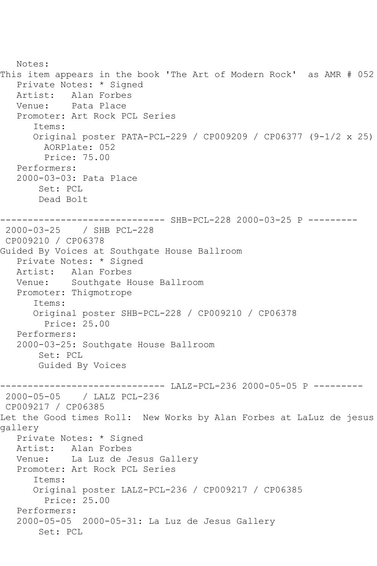```
 Notes: 
This item appears in the book 'The Art of Modern Rock' as AMR # 052
   Private Notes: * Signed
  Artist: Alan Forbes<br>Venue: Pata Place
            Pata Place
    Promoter: Art Rock PCL Series
       Items:
       Original poster PATA-PCL-229 / CP009209 / CP06377 (9-1/2 x 25)
         AORPlate: 052 
         Price: 75.00
    Performers:
    2000-03-03: Pata Place
        Set: PCL
        Dead Bolt
------------------------------ SHB-PCL-228 2000-03-25 P ---------
2000-03-25 / SHB PCL-228
CP009210 / CP06378
Guided By Voices at Southgate House Ballroom
    Private Notes: * Signed
   Artist: Alan Forbes
   Venue: Southgate House Ballroom
    Promoter: Thigmotrope
       Items:
       Original poster SHB-PCL-228 / CP009210 / CP06378
         Price: 25.00
   Performers:
    2000-03-25: Southgate House Ballroom
        Set: PCL
        Guided By Voices
         ------------------------------ LALZ-PCL-236 2000-05-05 P ---------
2000-05-05 / LALZ PCL-236
CP009217 / CP06385
Let the Good times Roll: New Works by Alan Forbes at LaLuz de jesus 
gallery
    Private Notes: * Signed
   Artist: Alan Forbes
   Venue: La Luz de Jesus Gallery
    Promoter: Art Rock PCL Series
       Items:
       Original poster LALZ-PCL-236 / CP009217 / CP06385
         Price: 25.00
    Performers:
    2000-05-05 2000-05-31: La Luz de Jesus Gallery
        Set: PCL
```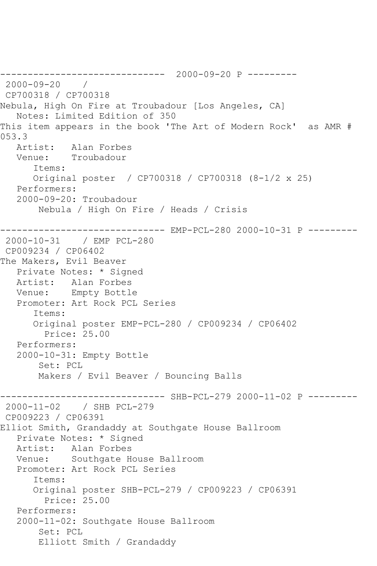------------------------------ 2000-09-20 P --------- 2000-09-20 / CP700318 / CP700318 Nebula, High On Fire at Troubadour [Los Angeles, CA] Notes: Limited Edition of 350 This item appears in the book 'The Art of Modern Rock' as AMR # 053.3<br>Artist: Alan Forbes Venue: Troubadour Items: Original poster / CP700318 / CP700318 (8-1/2 x 25) Performers: 2000-09-20: Troubadour Nebula / High On Fire / Heads / Crisis ------------------------------ EMP-PCL-280 2000-10-31 P --------- 2000-10-31 / EMP PCL-280 CP009234 / CP06402 The Makers, Evil Beaver Private Notes: \* Signed Artist: Alan Forbes Venue: Empty Bottle Promoter: Art Rock PCL Series Items: Original poster EMP-PCL-280 / CP009234 / CP06402 Price: 25.00 Performers: 2000-10-31: Empty Bottle Set: PCL Makers / Evil Beaver / Bouncing Balls ------------------------------ SHB-PCL-279 2000-11-02 P --------- 2000-11-02 / SHB PCL-279 CP009223 / CP06391 Elliot Smith, Grandaddy at Southgate House Ballroom Private Notes: \* Signed Artist: Alan Forbes Venue: Southgate House Ballroom Promoter: Art Rock PCL Series Items: Original poster SHB-PCL-279 / CP009223 / CP06391 Price: 25.00 Performers: 2000-11-02: Southgate House Ballroom Set: PCL Elliott Smith / Grandaddy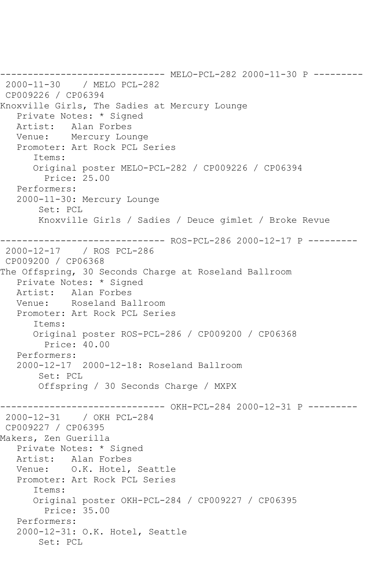------------------------------ MELO-PCL-282 2000-11-30 P --------- 2000-11-30 / MELO PCL-282 CP009226 / CP06394 Knoxville Girls, The Sadies at Mercury Lounge Private Notes: \* Signed Artist: Alan Forbes Venue: Mercury Lounge Promoter: Art Rock PCL Series Items: Original poster MELO-PCL-282 / CP009226 / CP06394 Price: 25.00 Performers: 2000-11-30: Mercury Lounge Set: PCL Knoxville Girls / Sadies / Deuce gimlet / Broke Revue ------------------------------ ROS-PCL-286 2000-12-17 P --------- 2000-12-17 / ROS PCL-286 CP009200 / CP06368 The Offspring, 30 Seconds Charge at Roseland Ballroom Private Notes: \* Signed Artist: Alan Forbes Venue: Roseland Ballroom Promoter: Art Rock PCL Series Items: Original poster ROS-PCL-286 / CP009200 / CP06368 Price: 40.00 Performers: 2000-12-17 2000-12-18: Roseland Ballroom Set: PCL Offspring / 30 Seconds Charge / MXPX ------------------------------ OKH-PCL-284 2000-12-31 P --------- 2000-12-31 / OKH PCL-284 CP009227 / CP06395 Makers, Zen Guerilla Private Notes: \* Signed Artist: Alan Forbes Venue: O.K. Hotel, Seattle Promoter: Art Rock PCL Series Items: Original poster OKH-PCL-284 / CP009227 / CP06395 Price: 35.00 Performers: 2000-12-31: O.K. Hotel, Seattle Set: PCL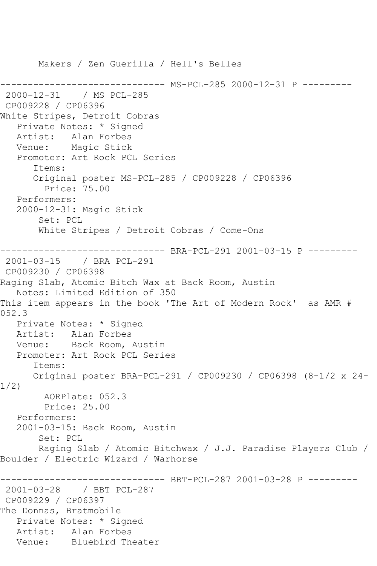Makers / Zen Guerilla / Hell's Belles ---------- MS-PCL-285 2000-12-31 P ---------2000-12-31 / MS PCL-285 CP009228 / CP06396 White Stripes, Detroit Cobras Private Notes: \* Signed Artist: Alan Forbes Venue: Magic Stick Promoter: Art Rock PCL Series Items: Original poster MS-PCL-285 / CP009228 / CP06396 Price: 75.00 Performers: 2000-12-31: Magic Stick Set: PCL White Stripes / Detroit Cobras / Come-Ons ------------------------------ BRA-PCL-291 2001-03-15 P --------- 2001-03-15 / BRA PCL-291 CP009230 / CP06398 Raging Slab, Atomic Bitch Wax at Back Room, Austin Notes: Limited Edition of 350 This item appears in the book 'The Art of Modern Rock' as AMR # 052.3 Private Notes: \* Signed Artist: Alan Forbes Venue: Back Room, Austin Promoter: Art Rock PCL Series Items: Original poster BRA-PCL-291 / CP009230 / CP06398 (8-1/2 x 24- 1/2) AORPlate: 052.3 Price: 25.00 Performers: 2001-03-15: Back Room, Austin Set: PCL Raging Slab / Atomic Bitchwax / J.J. Paradise Players Club / Boulder / Electric Wizard / Warhorse -------------- BBT-PCL-287 2001-03-28 P ---------2001-03-28 / BBT PCL-287 CP009229 / CP06397 The Donnas, Bratmobile Private Notes: \* Signed Artist: Alan Forbes<br>Venue: Bluebird Th Bluebird Theater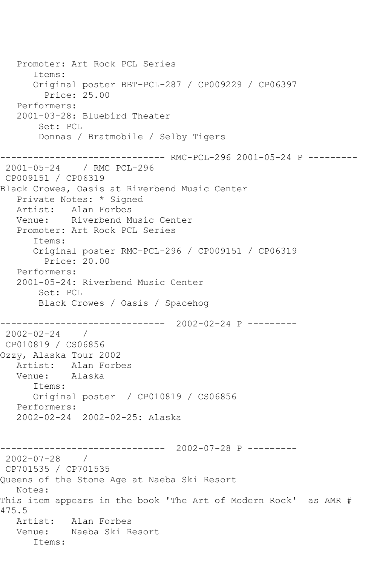Promoter: Art Rock PCL Series Items: Original poster BBT-PCL-287 / CP009229 / CP06397 Price: 25.00 Performers: 2001-03-28: Bluebird Theater Set: PCL Donnas / Bratmobile / Selby Tigers ------------------------------ RMC-PCL-296 2001-05-24 P --------- 2001-05-24 / RMC PCL-296 CP009151 / CP06319 Black Crowes, Oasis at Riverbend Music Center Private Notes: \* Signed Artist: Alan Forbes Venue: Riverbend Music Center Promoter: Art Rock PCL Series Items: Original poster RMC-PCL-296 / CP009151 / CP06319 Price: 20.00 Performers: 2001-05-24: Riverbend Music Center Set: PCL Black Crowes / Oasis / Spacehog ------------------------------ 2002-02-24 P --------- 2002-02-24 / CP010819 / CS06856 Ozzy, Alaska Tour 2002 Artist: Alan Forbes<br>Venue: Alaska Venue: Items: Original poster / CP010819 / CS06856 Performers: 2002-02-24 2002-02-25: Alaska ------------------------------ 2002-07-28 P --------- 2002-07-28 / CP701535 / CP701535 Queens of the Stone Age at Naeba Ski Resort Notes: This item appears in the book 'The Art of Modern Rock' as AMR # 475.5 Artist: Alan Forbes Venue: Naeba Ski Resort Items: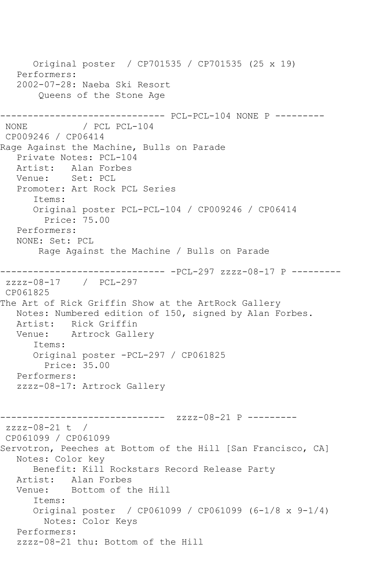Original poster / CP701535 / CP701535 (25 x 19) Performers: 2002-07-28: Naeba Ski Resort Queens of the Stone Age ------------------------------ PCL-PCL-104 NONE P ---------  $/$  PCL PCL-104 CP009246 / CP06414 Rage Against the Machine, Bulls on Parade Private Notes: PCL-104 Artist: Alan Forbes<br>Venue: Set: PCL Set: PCL Promoter: Art Rock PCL Series Items: Original poster PCL-PCL-104 / CP009246 / CP06414 Price: 75.00 Performers: NONE: Set: PCL Rage Against the Machine / Bulls on Parade ------------------------------ -PCL-297 zzzz-08-17 P -------- zzzz-08-17 / PCL-297 CP061825 The Art of Rick Griffin Show at the ArtRock Gallery Notes: Numbered edition of 150, signed by Alan Forbes. Artist: Rick Griffin Venue: Artrock Gallery Items: Original poster -PCL-297 / CP061825 Price: 35.00 Performers: zzzz-08-17: Artrock Gallery ----------- zzzz-08-21 P --------zzzz-08-21 t / CP061099 / CP061099 Servotron, Peeches at Bottom of the Hill [San Francisco, CA] Notes: Color key Benefit: Kill Rockstars Record Release Party Artist: Alan Forbes Venue: Bottom of the Hill Items: Original poster / CP061099 / CP061099 (6-1/8 x 9-1/4) Notes: Color Keys Performers: zzzz-08-21 thu: Bottom of the Hill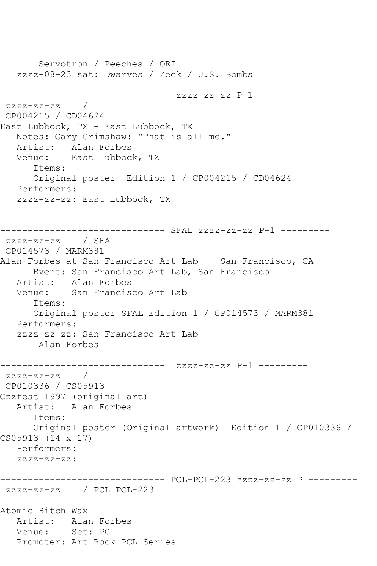Servotron / Peeches / ORI zzzz-08-23 sat: Dwarves / Zeek / U.S. Bombs ------------------------------ zzzz-zz-zz P-1 ---------  $ZZZ-ZZ-ZZ$ CP004215 / CD04624 East Lubbock, TX - East Lubbock, TX Notes: Gary Grimshaw: "That is all me." Artist: Alan Forbes Venue: East Lubbock, TX Items: Original poster Edition 1 / CP004215 / CD04624 Performers: zzzz-zz-zz: East Lubbock, TX ------------------------------ SFAL zzzz-zz-zz P-1 -------- zzzz-zz-zz / SFAL CP014573 / MARM381 Alan Forbes at San Francisco Art Lab - San Francisco, CA Event: San Francisco Art Lab, San Francisco Artist: Alan Forbes Venue: San Francisco Art Lab Items: Original poster SFAL Edition 1 / CP014573 / MARM381 Performers: zzzz-zz-zz: San Francisco Art Lab Alan Forbes ------------------------------ zzzz-zz-zz P-1 -------- zzzz-zz-zz / CP010336 / CS05913 Ozzfest 1997 (original art) Artist: Alan Forbes Items: Original poster (Original artwork) Edition 1 / CP010336 / CS05913 (14 x 17) Performers: zzzz-zz-zz: ------------------------------ PCL-PCL-223 zzzz-zz-zz P -------- zzzz-zz-zz / PCL PCL-223 Atomic Bitch Wax Artist: Alan Forbes Venue: Set: PCL Promoter: Art Rock PCL Series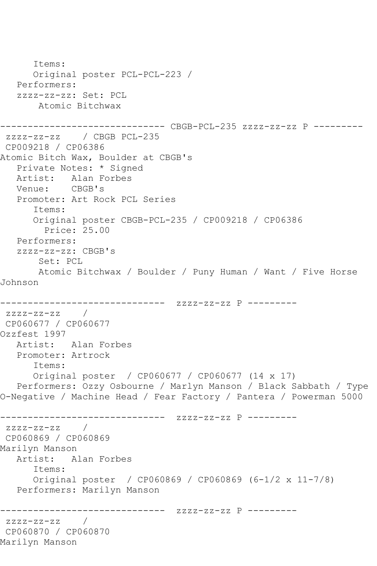```
 Items:
      Original poster PCL-PCL-223 / 
   Performers:
   zzzz-zz-zz: Set: PCL
        Atomic Bitchwax
------------------------------ CBGB-PCL-235 zzzz-zz-zz P ---------
zzzz-zz-zz / CBGB PCL-235
CP009218 / CP06386
Atomic Bitch Wax, Boulder at CBGB's
   Private Notes: * Signed
  Artist: Alan Forbes<br>Venue: CBGB's
  Venue:
   Promoter: Art Rock PCL Series
       Items:
       Original poster CBGB-PCL-235 / CP009218 / CP06386
         Price: 25.00
   Performers:
   zzzz-zz-zz: CBGB's
        Set: PCL
       Atomic Bitchwax / Boulder / Puny Human / Want / Five Horse 
Johnson
------------------------------ zzzz-zz-zz P ---------
zzzz-zz-zz / 
CP060677 / CP060677
Ozzfest 1997
   Artist: Alan Forbes
   Promoter: Artrock
       Items:
      Original poster / CP060677 / CP060677 (14 x 17)
   Performers: Ozzy Osbourne / Marlyn Manson / Black Sabbath / Type 
O-Negative / Machine Head / Fear Factory / Pantera / Powerman 5000
------------------------------ zzzz-zz-zz P ---------
zzzz-zz-zz / 
CP060869 / CP060869
Marilyn Manson
   Artist: Alan Forbes
       Items:
      Original poster / CP060869 / CP060869 (6-1/2 x 11-7/8)
   Performers: Marilyn Manson
------------------------------ zzzz-zz-zz P ---------
zzzz-zz-zz / 
CP060870 / CP060870
Marilyn Manson
```